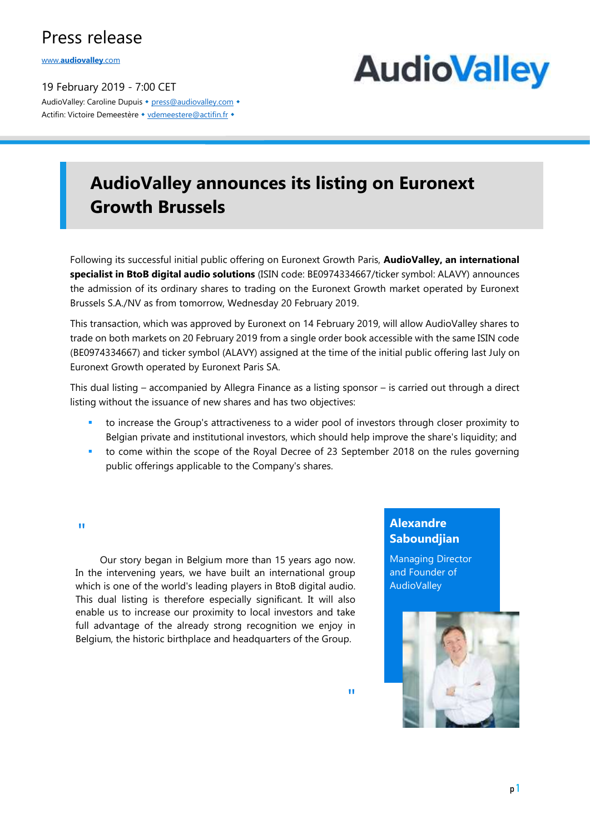## Press release

www.**[audiovalley](http://www.audiovalley.com/)**.com

19 February 2019 - 7:00 CET AudioValley: Caroline Dupuis • [press@audiovalley.com](mailto:press@audiovalley.com) • Actifin: Victoire Demeestère • [vdemeestere@actifin.fr](mailto:vdemeestere@actifin.fr?subject=AUDIOVALLEY%20Question) •



## **AudioValley announces its listing on Euronext Growth Brussels**

Following its successful initial public offering on Euronext Growth Paris, **AudioValley, an international specialist in BtoB digital audio solutions** (ISIN code: BE0974334667/ticker symbol: ALAVY) announces the admission of its ordinary shares to trading on the Euronext Growth market operated by Euronext Brussels S.A./NV as from tomorrow, Wednesday 20 February 2019.

This transaction, which was approved by Euronext on 14 February 2019, will allow AudioValley shares to trade on both markets on 20 February 2019 from a single order book accessible with the same ISIN code (BE0974334667) and ticker symbol (ALAVY) assigned at the time of the initial public offering last July on Euronext Growth operated by Euronext Paris SA.

This dual listing – accompanied by Allegra Finance as a listing sponsor – is carried out through a direct listing without the issuance of new shares and has two objectives:

- to increase the Group's attractiveness to a wider pool of investors through closer proximity to Belgian private and institutional investors, which should help improve the share's liquidity; and
- to come within the scope of the Royal Decree of 23 September 2018 on the rules governing public offerings applicable to the Company's shares.

#### "

 Our story began in Belgium more than 15 years ago now. In the intervening years, we have built an international group which is one of the world's leading players in BtoB digital audio. This dual listing is therefore especially significant. It will also enable us to increase our proximity to local investors and take full advantage of the already strong recognition we enjoy in Belgium, the historic birthplace and headquarters of the Group.

### **Alexandre Saboundjian**

Managing Director and Founder of **AudioValley**